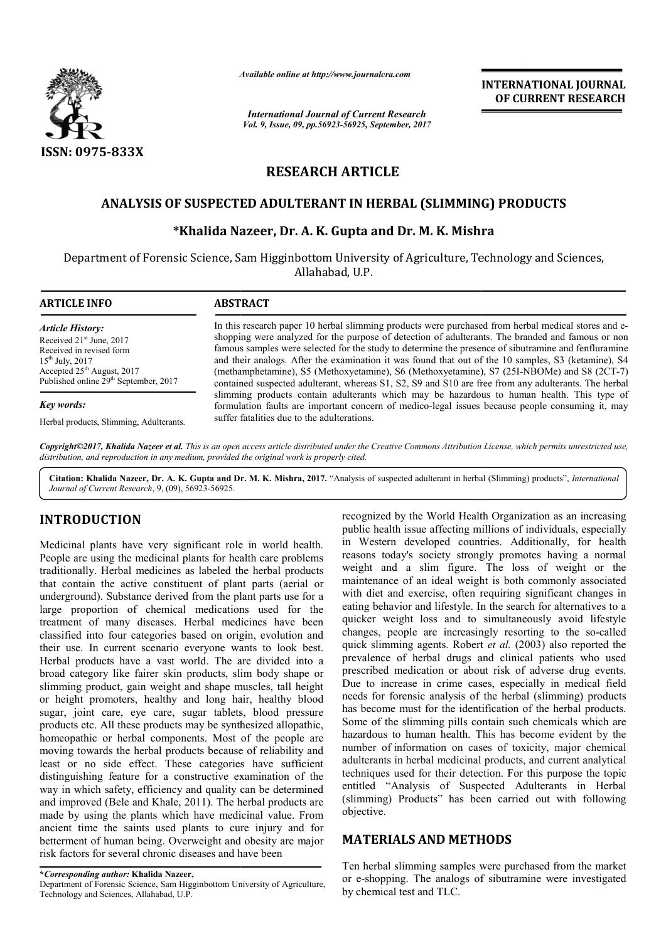

*Available online at http://www.journal http://www.journalcra.com*

*International Journal of Current Research Vol. 9, Issue, 09, pp.56923-56925, September, 2017* **INTERNATIONAL JOURNAL OF CURRENT RESEARCH** 

# **RESEARCH ARTICLE**

# **ANALYSIS OF SUSPECTED ADULTERANT IN HERBAL (SLIMMING) PRODUCTS HERBAL (SLIMMING)**

## **\*Khalida Nazeer, Dr. Khalida A. K. Gupta and Dr. M. K. Mishra**

Department of Forensic Science, Sam Higginbottom University of Agriculture, Technology and Sciences, Allahabad, U.P.

| <b>ARTICLE INFO</b>                                                                                                                                                                                                | <b>ABSTRACT</b>                                                                                                                                                                                                                                                                                                                                                                                                                                                                                                                                                                                                               |  |  |
|--------------------------------------------------------------------------------------------------------------------------------------------------------------------------------------------------------------------|-------------------------------------------------------------------------------------------------------------------------------------------------------------------------------------------------------------------------------------------------------------------------------------------------------------------------------------------------------------------------------------------------------------------------------------------------------------------------------------------------------------------------------------------------------------------------------------------------------------------------------|--|--|
| <b>Article History:</b><br>Received 21 <sup>st</sup> June, 2017<br>Received in revised form<br>$15^{th}$ July, 2017<br>Accepted 25 <sup>th</sup> August, 2017<br>Published online 29 <sup>th</sup> September, 2017 | In this research paper 10 herbal slimming products were purchased from herbal medical stores and e-<br>shopping were analyzed for the purpose of detection of adulterants. The branded and famous or non<br>famous samples were selected for the study to determine the presence of sibutramine and fenfluramine<br>and their analogs. After the examination it was found that out of the 10 samples, S3 (ketamine), S4<br>(methamphetamine), S5 (Methoxyetamine), S6 (Methoxyetamine), S7 (25I-NBOMe) and S8 (2CT-7)<br>contained suspected adulterant, whereas S1, S2, S9 and S10 are free from any adulterants. The herbal |  |  |
| Key words:<br>Herbal products, Slimming, Adulterants.                                                                                                                                                              | slimming products contain adulterants which may be hazardous to human health. This type of<br>formulation faults are important concern of medico-legal issues because people consuming it, may<br>suffer fatalities due to the adulterations.                                                                                                                                                                                                                                                                                                                                                                                 |  |  |

*Copyright©2017, Khalida Nazeer et al. This is an open access article distributed under the Creative Commons Att Attribution License, which ribution permits unrestricted use, distribution, and reproduction in any medium, provided the original work is properly cited.*

Citation: Khalida Nazeer, Dr. A. K. Gupta and Dr. M. K. Mishra, 2017. "Analysis of suspected adulterant in herbal (Slimming) products", *International Journal of Current Research*, 9, (09), 56923-56925.

# **INTRODUCTION**

Medicinal plants have very significant role in world health. People are using the medicinal plants for health care problems traditionally. Herbal medicines as labeled the herbal products that contain the active constituent of plant parts (aerial or underground). Substance derived from the plant parts use for a large proportion of chemical medications used for the treatment of many diseases. Herbal medicines have been classified into four categories based on origin, evolution and their use. In current scenario everyone wants to look best. Herbal products have a vast world. The are divided into a broad category like fairer skin products, slim body shape or slimming product, gain weight and shape muscles, tall height or height promoters, healthy and long hair, healthy blood sugar, joint care, eye care, sugar tablets, blood pressure products etc. All these products may be synthesized allopathic, homeopathic or herbal components. Most of the people are moving towards the herbal products because of reliability and least or no side effect. These categories have sufficient distinguishing feature for a constructive examination of the way in which safety, efficiency and quality can be determined and improved (Bele and Khale, 2011). The herbal products are made by using the plants which have medicinal value. From ancient time the saints used plants to cure injury and for betterment of human being. Overweight and obesity are major risk factors for several chronic diseases and have been ment of many diseases. Herbal medicines have been<br>sified into four categories based on origin, evolution and<br>use. In current scenario everyone wants to look best.<br>al products have a vast world. The are divided into a<br>d cat

Department of Forensic Science, Sam Higginbottom University of Agriculture, Technology and Sciences, Allahabad, U.P.

recognized by the World Health Organization as an increasing public health issue affecting millions of individuals, especially in Western developed countries. Additionally, for health reasons today's society strongly promotes having a nor weight and a slim figure. The loss of weight or the maintenance of an ideal weight is both commonly associated with diet and exercise, often requiring significant changes in eating behavior and lifestyle. In the search for alternatives to a quicker weight loss and to simultaneously avoid lifestyle changes, people are increasingly resorting to the so-called quick slimming agents. Robert *et al.* (2003) also reported the prevalence of herbal drugs and clinical patients who used prescribed medication or about risk of adverse drug events. Due to increase in crime cases, especially in medical field needs for forensic analysis of the herbal (slimming) products has become must for the identification of the herbal products. Some of the slimming pills contain such chemicals which are hazardous to human health. This has become evident by the hazardous to human health. This has become evident by the number of information on cases of toxicity, major chemical adulterants in herbal medicinal products, and current analytical techniques used for their detection. For this purpose the topic entitled "Analysis of Suspected Adulterants in Herbal (slimming) Products" has been carried out with following has been objective. recognized by the World Health Organization as an increasing<br>public health issue affecting millions of individuals, especially<br>in Western developed countries. Additionally, for health<br>reasons today's society strongly promo a slim figure. The loss of weight or the of an ideal weight is both commonly associated d exercise, often requiring significant changes in ior and lifestyle. In the search for alternatives to a ght loss and to simultaneous lence of herbal drugs and clinical patients who used<br>ribed medication or about risk of adverse drug events.<br>to increase in crime cases, especially in medical field<br>s for forensic analysis of the herbal (slimming) products<br>

# **MATERIALS AND METHODS METHODS**

Ten herbal slimming samples were purchased from the market Ten herbal slimming samples were purchased from the market<br>or e-shopping. The analogs of sibutramine were investigated by chemical test and TLC.

**<sup>\*</sup>***Corresponding author:* **Khalida Nazeer,**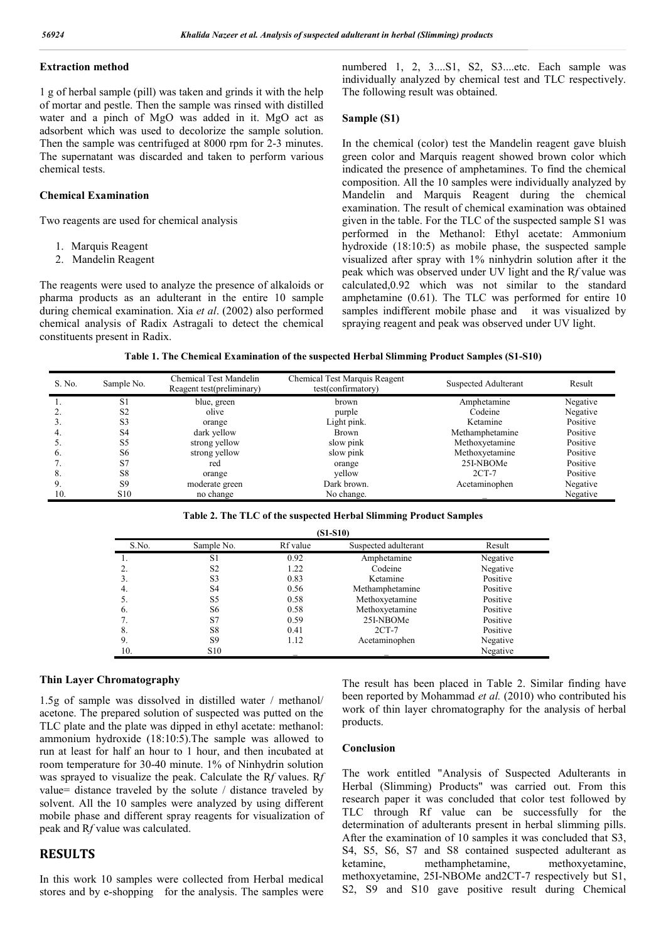### **Extraction method**

1 g of herbal sample (pill) was taken and grinds it with the help of mortar and pestle. Then the sample was rinsed with distilled water and a pinch of MgO was added in it. MgO act as adsorbent which was used to decolorize the sample solution. Then the sample was centrifuged at 8000 rpm for 2-3 minutes. The supernatant was discarded and taken to perform various chemical tests.

### **Chemical Examination**

Two reagents are used for chemical analysis

- 1. Marquis Reagent
- 2. Mandelin Reagent

The reagents were used to analyze the presence of alkaloids or pharma products as an adulterant in the entire 10 sample during chemical examination. Xia *et al*. (2002) also performed chemical analysis of Radix Astragali to detect the chemical constituents present in Radix.

numbered 1, 2, 3....S1, S2, S3....etc. Each sample was individually analyzed by chemical test and TLC respectively. The following result was obtained.

### **Sample (S1)**

In the chemical (color) test the Mandelin reagent gave bluish green color and Marquis reagent showed brown color which indicated the presence of amphetamines. To find the chemical composition. All the 10 samples were individually analyzed by Mandelin and Marquis Reagent during the chemical examination. The result of chemical examination was obtained given in the table. For the TLC of the suspected sample S1 was performed in the Methanol: Ethyl acetate: Ammonium hydroxide (18:10:5) as mobile phase, the suspected sample visualized after spray with 1% ninhydrin solution after it the peak which was observed under UV light and the R*f* value was calculated,0.92 which was not similar to the standard amphetamine (0.61). The TLC was performed for entire 10 samples indifferent mobile phase and it was visualized by spraying reagent and peak was observed under UV light.

| Table 1. The Chemical Examination of the suspected Herbal Slimming Product Samples (S1-S10) |  |
|---------------------------------------------------------------------------------------------|--|
|                                                                                             |  |

| S. No.         | Sample No.      | Chemical Test Mandelin<br>Reagent test(preliminary) | Chemical Test Marquis Reagent<br>test(confirmatory) | Suspected Adulterant | Result   |
|----------------|-----------------|-----------------------------------------------------|-----------------------------------------------------|----------------------|----------|
|                | S1              | blue, green                                         | brown                                               | Amphetamine          | Negative |
|                | S <sub>2</sub>  | olive                                               | purple                                              | Codeine              | Negative |
|                | S3              | orange                                              | Light pink.                                         | Ketamine             | Positive |
|                | S <sub>4</sub>  | dark yellow                                         | Brown                                               | Methamphetamine      | Positive |
|                | S5              | strong yellow                                       | slow pink                                           | Methoxyetamine       | Positive |
| $\mathbf{b}$ . | S <sub>6</sub>  | strong yellow                                       | slow pink                                           | Methoxyetamine       | Positive |
|                | S7              | red                                                 | orange                                              | 25I-NBOMe            | Positive |
| 8.             | S8              | orange                                              | vellow                                              | $2CT-7$              | Positive |
| 9.             | <b>S9</b>       | moderate green                                      | Dark brown.                                         | Acetaminophen        | Negative |
| 10             | S <sub>10</sub> | no change                                           | No change.                                          |                      | Negative |

| $(S1-S10)$ |                 |          |                      |          |  |  |
|------------|-----------------|----------|----------------------|----------|--|--|
| S.No.      | Sample No.      | Rf value | Suspected adulterant | Result   |  |  |
|            | S1              | 0.92     | Amphetamine          | Negative |  |  |
|            | S <sub>2</sub>  | 1.22     | Codeine              | Negative |  |  |
| 3.         | S <sub>3</sub>  | 0.83     | Ketamine             | Positive |  |  |
| 4.         | S4              | 0.56     | Methamphetamine      | Positive |  |  |
| Ć.         | S5              | 0.58     | Methoxyetamine       | Positive |  |  |
| 6.         | S6              | 0.58     | Methoxyetamine       | Positive |  |  |
|            | S7              | 0.59     | 25I-NBOMe            | Positive |  |  |
| 8.         | S8              | 0.41     | $2CT-7$              | Positive |  |  |
| 9.         | S <sub>9</sub>  | 1.12     | Acetaminophen        | Negative |  |  |
| 10.        | S <sub>10</sub> |          |                      | Negative |  |  |

### **Thin Layer Chromatography**

1.5g of sample was dissolved in distilled water / methanol/ acetone. The prepared solution of suspected was putted on the TLC plate and the plate was dipped in ethyl acetate: methanol: ammonium hydroxide (18:10:5).The sample was allowed to run at least for half an hour to 1 hour, and then incubated at room temperature for 30-40 minute. 1% of Ninhydrin solution was sprayed to visualize the peak. Calculate the R*f* values. R*f* value= distance traveled by the solute / distance traveled by solvent. All the 10 samples were analyzed by using different mobile phase and different spray reagents for visualization of peak and R*f* value was calculated.

## **RESULTS**

In this work 10 samples were collected from Herbal medical stores and by e-shopping for the analysis. The samples were

The result has been placed in Table 2. Similar finding have been reported by Mohammad *et al.* (2010) who contributed his work of thin layer chromatography for the analysis of herbal products.

### **Conclusion**

The work entitled "Analysis of Suspected Adulterants in Herbal (Slimming) Products" was carried out. From this research paper it was concluded that color test followed by TLC through Rf value can be successfully for the determination of adulterants present in herbal slimming pills. After the examination of 10 samples it was concluded that S3, S4, S5, S6, S7 and S8 contained suspected adulterant as ketamine, methamphetamine, methoxyetamine, methoxyetamine, 25I-NBOMe and2CT-7 respectively but S1, S2, S9 and S10 gave positive result during Chemical